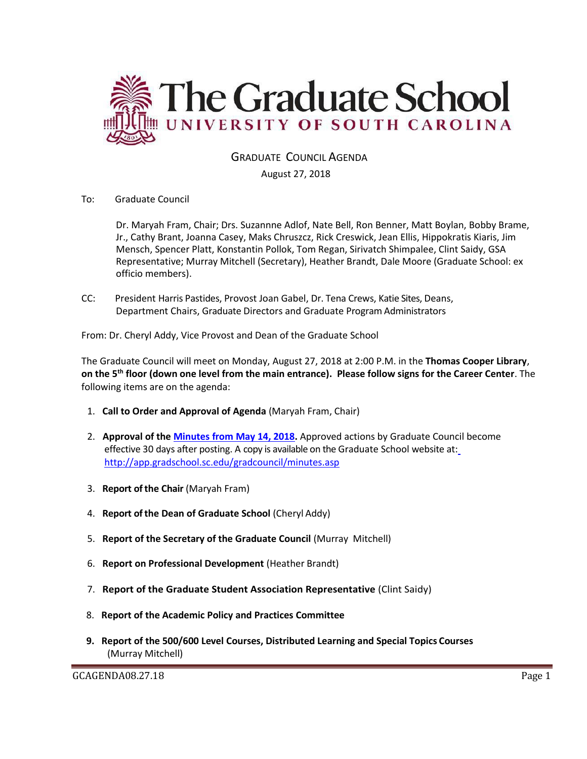

GRADUATE COUNCIL AGENDA

August 27, 2018

To: Graduate Council

Dr. Maryah Fram, Chair; Drs. Suzannne Adlof, Nate Bell, Ron Benner, Matt Boylan, Bobby Brame, Jr., Cathy Brant, Joanna Casey, Maks Chruszcz, Rick Creswick, Jean Ellis, Hippokratis Kiaris, Jim Mensch, Spencer Platt, Konstantin Pollok, Tom Regan, Sirivatch Shimpalee, Clint Saidy, GSA Representative; Murray Mitchell (Secretary), Heather Brandt, Dale Moore (Graduate School: ex officio members).

CC: President Harris Pastides, Provost Joan Gabel, Dr. Tena Crews, Katie Sites, Deans, Department Chairs, Graduate Directors and Graduate Program Administrators

From: Dr. Cheryl Addy, Vice Provost and Dean of the Graduate School

The Graduate Council will meet on Monday, August 27, 2018 at 2:00 P.M. in the **Thomas Cooper Library**, **on the 5th floor (down one level from the main entrance). Please follow signs for the Career Center**. The following items are on the agenda:

- 1. **Call to Order and Approval of Agenda** (Maryah Fram, Chair)
- 2. **Approval of the [Minutes from May 14, 2018.](http://gradschool.sc.edu/facstaff/gradcouncil/2017/GCMINUTESMAY142018MM.pdf)** Approved actions by Graduate Council become effective 30 days after posting. A copy is available on the Graduate School website at[:](http://app.gradschool.sc.edu/gradcouncil/minutes.asp) <http://app.gradschool.sc.edu/gradcouncil/minutes.asp>
- 3. **Report of the Chair** (Maryah Fram)
- 4. **Report of the Dean of Graduate School** (Cheryl Addy)
- 5. **Report of the Secretary of the Graduate Council** (Murray Mitchell)
- 6. **Report on Professional Development** (Heather Brandt)
- 7. **Report of the Graduate Student Association Representative** (Clint Saidy)
- 8. **Report of the Academic Policy and Practices Committee**
- **9. Report of the 500/600 Level Courses, Distributed Learning and Special Topics Courses** (Murray Mitchell)

GCAGENDA08.27.18 Page 1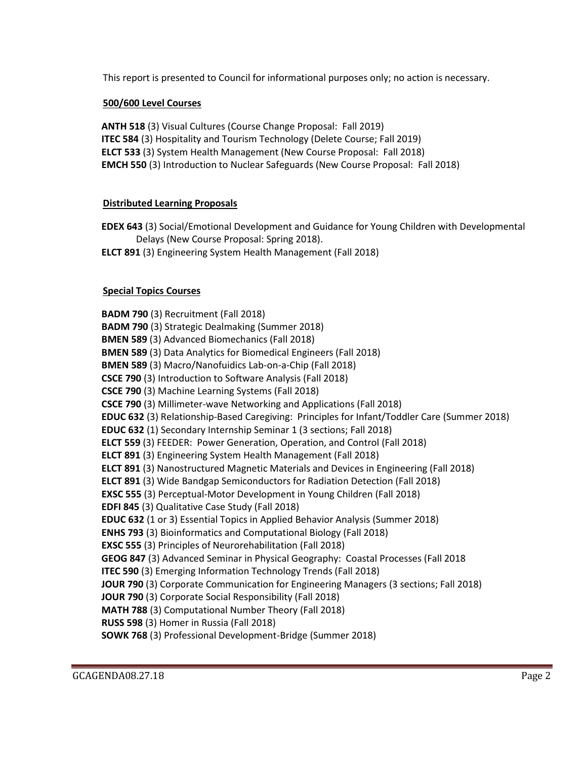This report is presented to Council for informational purposes only; no action is necessary.

# **500/600 Level Courses**

**ANTH 518** (3) Visual Cultures (Course Change Proposal: Fall 2019) **ITEC 584** (3) Hospitality and Tourism Technology (Delete Course; Fall 2019) **ELCT 533** (3) System Health Management (New Course Proposal: Fall 2018) **EMCH 550** (3) Introduction to Nuclear Safeguards (New Course Proposal: Fall 2018)

# **Distributed Learning Proposals**

**EDEX 643** (3) Social/Emotional Development and Guidance for Young Children with Developmental Delays (New Course Proposal: Spring 2018).

**ELCT 891** (3) Engineering System Health Management (Fall 2018)

# **Special Topics Courses**

**BADM 790** (3) Recruitment (Fall 2018) **BADM 790** (3) Strategic Dealmaking (Summer 2018) **BMEN 589** (3) Advanced Biomechanics (Fall 2018) **BMEN 589** (3) Data Analytics for Biomedical Engineers (Fall 2018) **BMEN 589** (3) Macro/Nanofuidics Lab-on-a-Chip (Fall 2018) **CSCE 790** (3) Introduction to Software Analysis (Fall 2018) **CSCE 790** (3) Machine Learning Systems (Fall 2018) **CSCE 790** (3) Millimeter-wave Networking and Applications (Fall 2018) **EDUC 632** (3) Relationship-Based Caregiving: Principles for Infant/Toddler Care (Summer 2018) **EDUC 632** (1) Secondary Internship Seminar 1 (3 sections; Fall 2018) **ELCT 559** (3) FEEDER: Power Generation, Operation, and Control (Fall 2018) **ELCT 891** (3) Engineering System Health Management (Fall 2018) **ELCT 891** (3) Nanostructured Magnetic Materials and Devices in Engineering (Fall 2018) **ELCT 891** (3) Wide Bandgap Semiconductors for Radiation Detection (Fall 2018) **EXSC 555** (3) Perceptual-Motor Development in Young Children (Fall 2018) **EDFI 845** (3) Qualitative Case Study (Fall 2018) **EDUC 632** (1 or 3) Essential Topics in Applied Behavior Analysis (Summer 2018) **ENHS 793** (3) Bioinformatics and Computational Biology (Fall 2018) **EXSC 555** (3) Principles of Neurorehabilitation (Fall 2018) **GEOG 847** (3) Advanced Seminar in Physical Geography: Coastal Processes (Fall 2018 **ITEC 590** (3) Emerging Information Technology Trends (Fall 2018) **JOUR 790** (3) Corporate Communication for Engineering Managers (3 sections; Fall 2018) **JOUR 790** (3) Corporate Social Responsibility (Fall 2018) **MATH 788** (3) Computational Number Theory (Fall 2018) **RUSS 598** (3) Homer in Russia (Fall 2018) **SOWK 768** (3) Professional Development-Bridge (Summer 2018)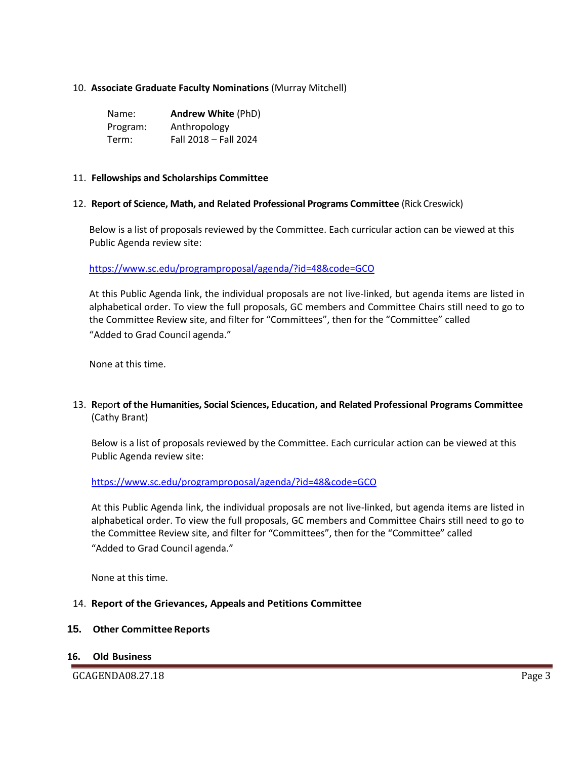### 10. **Associate Graduate Faculty Nominations** (Murray Mitchell)

| Name:    | <b>Andrew White (PhD)</b> |
|----------|---------------------------|
| Program: | Anthropology              |
| Term:    | Fall 2018 - Fall 2024     |

### 11. **Fellowships and Scholarships Committee**

### 12. **Report of Science, Math, and Related Professional Programs Committee** (Rick Creswick)

Below is a list of proposals reviewed by the Committee. Each curricular action can be viewed at this Public Agenda review site:

<https://www.sc.edu/programproposal/agenda/?id=48&code=GCO>

At this Public Agenda link, the individual proposals are not live-linked, but agenda items are listed in alphabetical order. To view the full proposals, GC members and Committee Chairs still need to go to the Committee Review site, and filter for "Committees", then for the "Committee" called "Added to Grad Council agenda."

None at this time.

13. **R**epor**t of the Humanities, Social Sciences, Education, and Related Professional Programs Committee**  (Cathy Brant)

Below is a list of proposals reviewed by the Committee. Each curricular action can be viewed at this Public Agenda review site:

<https://www.sc.edu/programproposal/agenda/?id=48&code=GCO>

At this Public Agenda link, the individual proposals are not live-linked, but agenda items are listed in alphabetical order. To view the full proposals, GC members and Committee Chairs still need to go to the Committee Review site, and filter for "Committees", then for the "Committee" called "Added to Grad Council agenda."

None at this time.

### 14. **Report of the Grievances, Appeals and Petitions Committee**

#### **15. Other Committee Reports**

**16. Old Business**

GCAGENDA08.27.18 Page 3